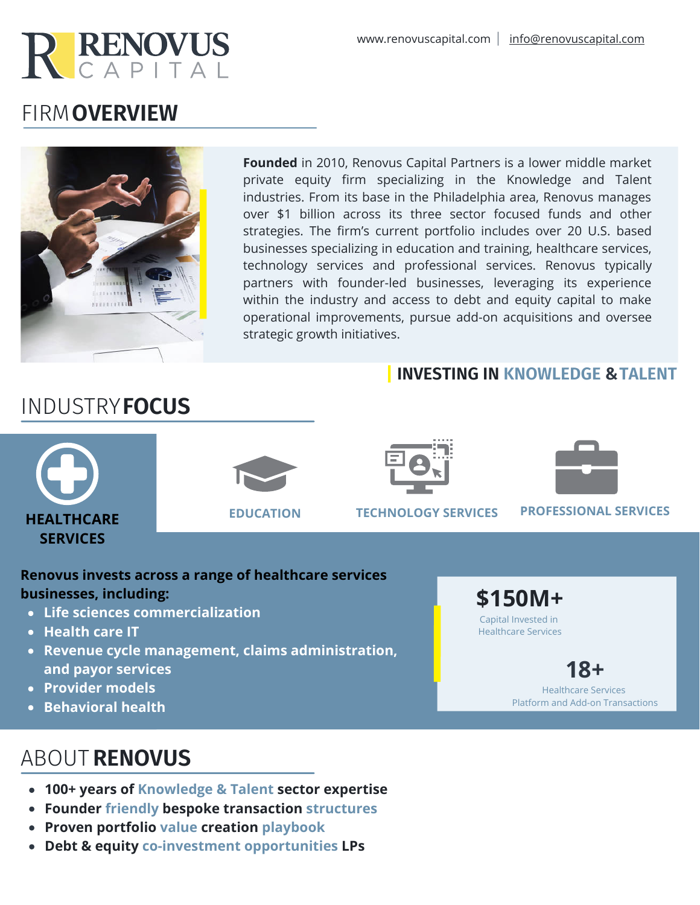

# FIRM **OVERVIEW**



**Founded** in 2010, Renovus Capital Partners is a lower middle market private equity firm specializing in the Knowledge and Talent industries. From its base in the Philadelphia area, Renovus manages over \$1 billion across its three sector focused funds and other strategies. The firm's current portfolio includes over 20 U.S. based businesses specializing in education and training, healthcare services, technology services and professional services. Renovus typically partners with founder-led businesses, leveraging its experience within the industry and access to debt and equity capital to make operational improvements, pursue add-on acquisitions and oversee strategic growth initiatives.

## **INVESTING IN KNOWLEDGE & TALENT**

# INDUSTRY**FOCUS**





**EDUCATION TECHNOLOGY SERVICES PROFESSIONAL SERVICES**

## **Renovus invests across a range of healthcare services businesses, including:**

- **Life sciences commercialization**
- **Health care IT**

**HEALTHCARE SERVICES**

- **Revenue cycle management, claims administration, and payor services**
- **Provider models**
- **Behavioral health**

# ABOUT **RENOVUS**

- **100+ years of Knowledge & Talent sector expertise**
- **Founder friendly bespoke transaction structures**
- **Proven portfolio value creation playbook**
- **Debt & equity co-investment opportunities LPs**

**\$150M+** Capital Invested in Healthcare Services

> **18+** Healthcare Services

Platform and Add-on Transactions